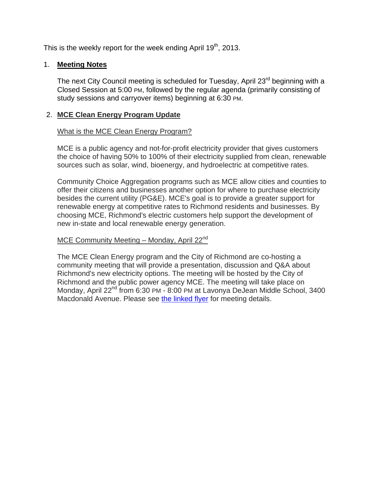This is the weekly report for the week ending April  $19<sup>th</sup>$ , 2013.

# 1. **Meeting Notes**

The next City Council meeting is scheduled for Tuesday, April 23<sup>rd</sup> beginning with a Closed Session at 5:00 PM, followed by the regular agenda (primarily consisting of study sessions and carryover items) beginning at 6:30 PM.

# 2. **MCE Clean Energy Program Update**

## What is the MCE Clean Energy Program?

MCE is a public agency and not-for-profit electricity provider that gives customers the choice of having 50% to 100% of their electricity supplied from clean, renewable sources such as solar, wind, bioenergy, and hydroelectric at competitive rates.

Community Choice Aggregation programs such as MCE allow cities and counties to offer their citizens and businesses another option for where to purchase electricity besides the current utility (PG&E). MCE's goal is to provide a greater support for renewable energy at competitive rates to Richmond residents and businesses. By choosing MCE, Richmond's electric customers help support the development of new in-state and local renewable energy generation.

# MCE Community Meeting – Monday, April 22<sup>nd</sup>

The MCE Clean Energy program and the City of Richmond are co-hosting a community meeting that will provide a presentation, discussion and Q&A about Richmond's new electricity options. The meeting will be hosted by the City of Richmond and the public power agency MCE. The meeting will take place on Monday, April 22<sup>nd</sup> from 6:30 PM - 8:00 PM at Lavonya DeJean Middle School, 3400 Macdonald Avenue. Please see the linked flyer for meeting details.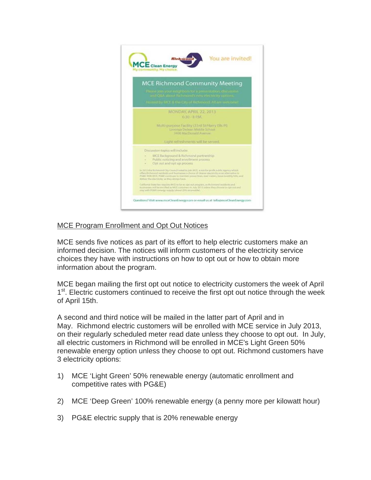

# MCE Program Enrollment and Opt Out Notices

MCE sends five notices as part of its effort to help electric customers make an informed decision. The notices will inform customers of the electricity service choices they have with instructions on how to opt out or how to obtain more information about the program.

MCE began mailing the first opt out notice to electricity customers the week of April 1<sup>st</sup>. Electric customers continued to receive the first opt out notice through the week of April 15th.

A second and third notice will be mailed in the latter part of April and in May. Richmond electric customers will be enrolled with MCE service in July 2013, on their regularly scheduled meter read date unless they choose to opt out. In July, all electric customers in Richmond will be enrolled in MCE's Light Green 50% renewable energy option unless they choose to opt out. Richmond customers have 3 electricity options:

- 1) MCE 'Light Green' 50% renewable energy (automatic enrollment and competitive rates with PG&E)
- 2) MCE 'Deep Green' 100% renewable energy (a penny more per kilowatt hour)
- 3) PG&E electric supply that is 20% renewable energy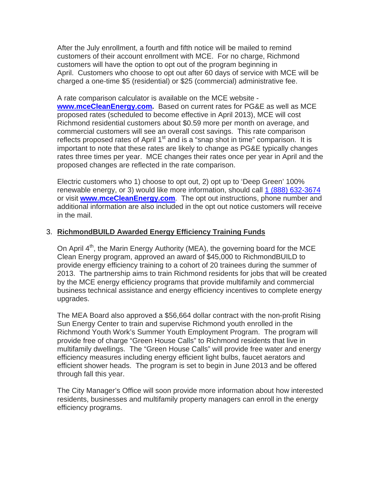After the July enrollment, a fourth and fifth notice will be mailed to remind customers of their account enrollment with MCE. For no charge, Richmond customers will have the option to opt out of the program beginning in April. Customers who choose to opt out after 60 days of service with MCE will be charged a one-time \$5 (residential) or \$25 (commercial) administrative fee.

A rate comparison calculator is available on the MCE website **www.mceCleanEnergy.com.** Based on current rates for PG&E as well as MCE proposed rates (scheduled to become effective in April 2013), MCE will cost Richmond residential customers about \$0.59 more per month on average, and commercial customers will see an overall cost savings. This rate comparison reflects proposed rates of April  $1<sup>st</sup>$  and is a "snap shot in time" comparison. It is important to note that these rates are likely to change as PG&E typically changes rates three times per year. MCE changes their rates once per year in April and the proposed changes are reflected in the rate comparison.

Electric customers who 1) choose to opt out, 2) opt up to 'Deep Green' 100% renewable energy, or 3) would like more information, should call 1 (888) 632-3674 or visit **www.mceCleanEnergy.com**. The opt out instructions, phone number and additional information are also included in the opt out notice customers will receive in the mail.

# 3. **RichmondBUILD Awarded Energy Efficiency Training Funds**

On April 4<sup>th</sup>, the Marin Energy Authority (MEA), the governing board for the MCE Clean Energy program, approved an award of \$45,000 to RichmondBUILD to provide energy efficiency training to a cohort of 20 trainees during the summer of 2013. The partnership aims to train Richmond residents for jobs that will be created by the MCE energy efficiency programs that provide multifamily and commercial business technical assistance and energy efficiency incentives to complete energy upgrades.

The MEA Board also approved a \$56,664 dollar contract with the non-profit Rising Sun Energy Center to train and supervise Richmond youth enrolled in the Richmond Youth Work's Summer Youth Employment Program. The program will provide free of charge "Green House Calls" to Richmond residents that live in multifamily dwellings. The "Green House Calls" will provide free water and energy efficiency measures including energy efficient light bulbs, faucet aerators and efficient shower heads. The program is set to begin in June 2013 and be offered through fall this year.

The City Manager's Office will soon provide more information about how interested residents, businesses and multifamily property managers can enroll in the energy efficiency programs.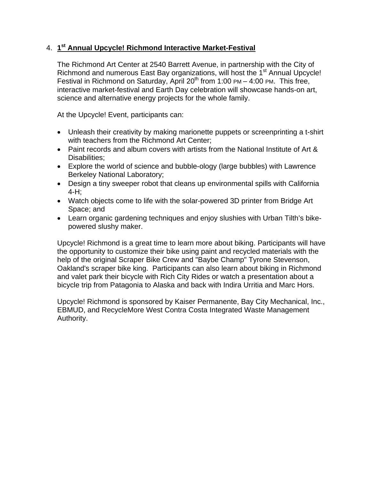# 4. **1st Annual Upcycle! Richmond Interactive Market-Festival**

The Richmond Art Center at 2540 Barrett Avenue, in partnership with the City of Richmond and numerous East Bay organizations, will host the 1<sup>st</sup> Annual Upcycle! Festival in Richmond on Saturday, April 20<sup>th</sup> from 1:00 PM – 4:00 PM. This free, interactive market-festival and Earth Day celebration will showcase hands-on art, science and alternative energy projects for the whole family.

At the Upcycle! Event, participants can:

- Unleash their creativity by making marionette puppets or screenprinting a t-shirt with teachers from the Richmond Art Center;
- Paint records and album covers with artists from the National Institute of Art & Disabilities;
- Explore the world of science and bubble-ology (large bubbles) with Lawrence Berkeley National Laboratory;
- Design a tiny sweeper robot that cleans up environmental spills with California 4-H;
- Watch objects come to life with the solar-powered 3D printer from Bridge Art Space; and
- Learn organic gardening techniques and enjoy slushies with Urban Tilth's bikepowered slushy maker.

Upcycle! Richmond is a great time to learn more about biking. Participants will have the opportunity to customize their bike using paint and recycled materials with the help of the original Scraper Bike Crew and "Baybe Champ" Tyrone Stevenson, Oakland's scraper bike king. Participants can also learn about biking in Richmond and valet park their bicycle with Rich City Rides or watch a presentation about a bicycle trip from Patagonia to Alaska and back with Indira Urritia and Marc Hors.

Upcycle! Richmond is sponsored by Kaiser Permanente, Bay City Mechanical, Inc., EBMUD, and RecycleMore West Contra Costa Integrated Waste Management Authority.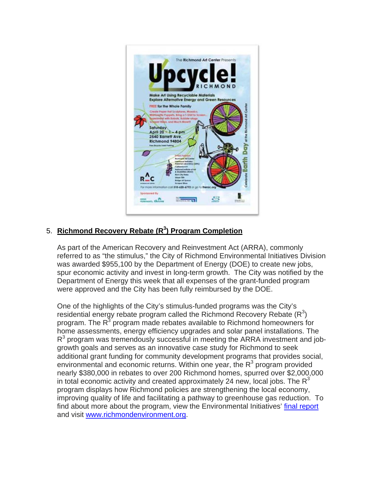

# 5. Richmond Recovery Rebate (R<sup>3</sup>) Program Completion

As part of the American Recovery and Reinvestment Act (ARRA), commonly referred to as "the stimulus," the City of Richmond Environmental Initiatives Division was awarded \$955,100 by the Department of Energy (DOE) to create new jobs, spur economic activity and invest in long-term growth. The City was notified by the Department of Energy this week that all expenses of the grant-funded program were approved and the City has been fully reimbursed by the DOE.

One of the highlights of the City's stimulus-funded programs was the City's residential energy rebate program called the Richmond Recovery Rebate  $(R<sup>3</sup>)$ program. The R<sup>3</sup> program made rebates available to Richmond homeowners for home assessments, energy efficiency upgrades and solar panel installations. The  $R<sup>3</sup>$  program was tremendously successful in meeting the ARRA investment and jobgrowth goals and serves as an innovative case study for Richmond to seek additional grant funding for community development programs that provides social, environmental and economic returns. Within one year, the  $R<sup>3</sup>$  program provided nearly \$380,000 in rebates to over 200 Richmond homes, spurred over \$2,000,000 in total economic activity and created approximately 24 new, local jobs. The  $R^3$ program displays how Richmond policies are strengthening the local economy, improving quality of life and facilitating a pathway to greenhouse gas reduction. To find about more about the program, view the Environmental Initiatives' final report and visit www.richmondenvironment.org.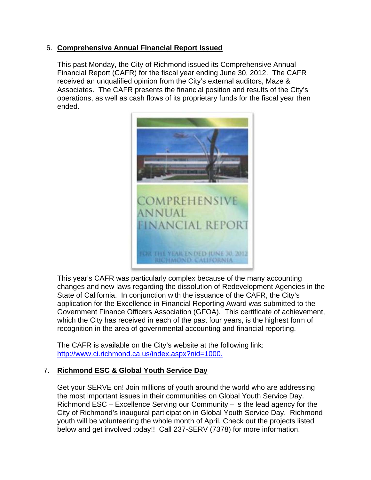# 6. **Comprehensive Annual Financial Report Issued**

This past Monday, the City of Richmond issued its Comprehensive Annual Financial Report (CAFR) for the fiscal year ending June 30, 2012. The CAFR received an unqualified opinion from the City's external auditors, Maze & Associates. The CAFR presents the financial position and results of the City's operations, as well as cash flows of its proprietary funds for the fiscal year then ended.



This year's CAFR was particularly complex because of the many accounting changes and new laws regarding the dissolution of Redevelopment Agencies in the State of California. In conjunction with the issuance of the CAFR, the City's application for the Excellence in Financial Reporting Award was submitted to the Government Finance Officers Association (GFOA). This certificate of achievement, which the City has received in each of the past four years, is the highest form of recognition in the area of governmental accounting and financial reporting.

The CAFR is available on the City's website at the following link: http://www.ci.richmond.ca.us/index.aspx?nid=1000.

# 7. **Richmond ESC & Global Youth Service Day**

Get your SERVE on! Join millions of youth around the world who are addressing the most important issues in their communities on Global Youth Service Day. Richmond ESC – Excellence Serving our Community – is the lead agency for the City of Richmond's inaugural participation in Global Youth Service Day. Richmond youth will be volunteering the whole month of April. Check out the projects listed below and get involved today!! Call 237-SERV (7378) for more information.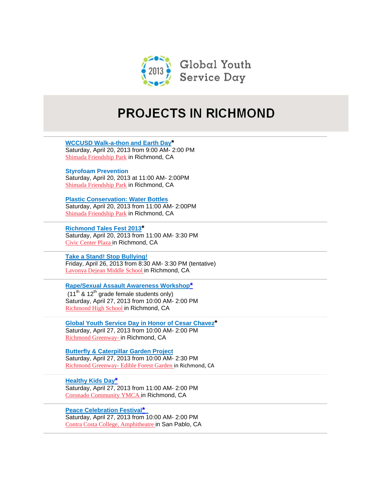

# **PROJECTS IN RICHMOND**

**WCCUSD Walk-a-thon and Earth Day\*** Saturday, April 20, 2013 from 9:00 AM- 2:00 PM Shimada Friendship Park in Richmond, CA

**Styrofoam Prevention**  Saturday, April 20, 2013 at 11:00 AM- 2:00PM Shimada Friendship Park in Richmond, CA

**Plastic Conservation: Water Bottles**  Saturday, April 20, 2013 from 11:00 AM- 2:00PM Shimada Friendship Park in Richmond, CA

**Richmond Tales Fest 2013\*** Saturday, April 20, 2013 from 11:00 AM- 3:30 PM Civic Center Plaza in Richmond, CA

**Take a Stand! Stop Bullying!** Friday, April 26, 2013 from 8:30 AM- 3:30 PM (tentative) Lavonya Dejean Middle School in Richmond, CA

**Rape/Sexual Assault Awareness Workshop\*** 

 $(11<sup>th</sup>$  & 12<sup>th</sup> grade female students only) Saturday, April 27, 2013 from 10:00 AM- 2:00 PM Richmond High School in Richmond, CA

**Global Youth Service Day in Honor of Cesar Chavez\*** Saturday, April 27, 2013 from 10:00 AM- 2:00 PM Richmond Greenway- in Richmond, CA

**Butterfly & Caterpillar Garden Project** Saturday, April 27, 2013 from 10:00 AM- 2:30 PM Richmond Greenway- Edible Forest Garden in Richmond, CA

**Healthy Kids Day\*** Saturday, April 27, 2013 from 11:00 AM- 2:00 PM Coronado Community YMCA in Richmond, CA

**Peace Celebration Festival\***  Saturday, April 27, 2013 from 10:00 AM- 2:00 PM Contra Costa College, Amphitheatre in San Pablo, CA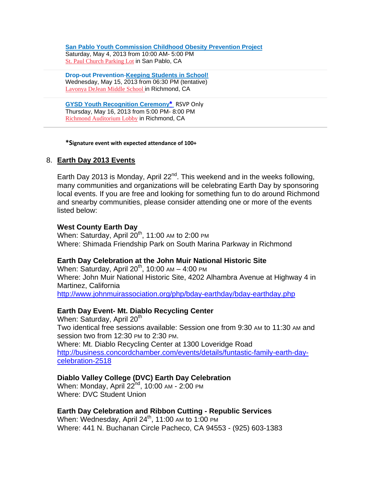**San Pablo Youth Commission Childhood Obesity Prevention Project** Saturday, May 4, 2013 from 10:00 AM- 5:00 PM St. Paul Church Parking Lot in San Pablo, CA

**Drop-out Prevention**-**Keeping Students in School!** Wednesday, May 15, 2013 from 06:30 PM (tentative) Lavonya DeJean Middle School in Richmond, CA

**GYSD Youth Recognition Ceremony\*** RSVP Only Thursday, May 16, 2013 from 5:00 PM- 8:00 PM Richmond Auditorium Lobby in Richmond, CA

#### **\*Signature event with expected attendance of 100+**

## 8. **Earth Day 2013 Events**

Earth Day 2013 is Monday, April  $22<sup>nd</sup>$ . This weekend and in the weeks following. many communities and organizations will be celebrating Earth Day by sponsoring local events. If you are free and looking for something fun to do around Richmond and snearby communities, please consider attending one or more of the events listed below:

### **West County Earth Day**

When: Saturday, April  $20<sup>th</sup>$ , 11:00 AM to 2:00 PM Where: Shimada Friendship Park on South Marina Parkway in Richmond

#### **Earth Day Celebration at the John Muir National Historic Site**

When: Saturday, April  $20^{th}$ , 10:00 AM – 4:00 PM Where: John Muir National Historic Site, 4202 Alhambra Avenue at Highway 4 in Martinez, California http://www.johnmuirassociation.org/php/bday-earthday/bday-earthday.php

## **Earth Day Event- Mt. Diablo Recycling Center**

When: Saturday, April  $20<sup>th</sup>$ Two identical free sessions available: Session one from 9:30 AM to 11:30 AM and session two from 12:30 PM to 2:30 PM. Where: Mt. Diablo Recycling Center at 1300 Loveridge Road http://business.concordchamber.com/events/details/funtastic-family-earth-daycelebration-2518

## **Diablo Valley College (DVC) Earth Day Celebration**

When: Monday, April 22<sup>nd</sup>, 10:00 AM - 2:00 PM Where: DVC Student Union

## **Earth Day Celebration and Ribbon Cutting - Republic Services**

When: Wednesday, April 24<sup>th</sup>, 11:00 AM to 1:00 PM Where: 441 N. Buchanan Circle Pacheco, CA 94553 - (925) 603-1383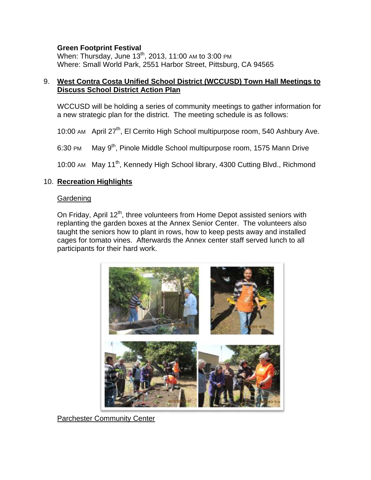## **Green Footprint Festival**

When: Thursday, June 13<sup>th</sup>, 2013, 11:00 AM to 3:00 PM Where: Small World Park, 2551 Harbor Street, Pittsburg, CA 94565

## 9. **West Contra Costa Unified School District (WCCUSD) Town Hall Meetings to Discuss School District Action Plan**

WCCUSD will be holding a series of community meetings to gather information for a new strategic plan for the district. The meeting schedule is as follows:

10:00 AM April 27<sup>th</sup>, El Cerrito High School multipurpose room, 540 Ashbury Ave.

6:30 PM May 9<sup>th</sup>, Pinole Middle School multipurpose room, 1575 Mann Drive

10:00 AM May 11<sup>th</sup>, Kennedy High School library, 4300 Cutting Blvd., Richmond

# 10. **Recreation Highlights**

## **Gardening**

On Friday, April 12<sup>th</sup>, three volunteers from Home Depot assisted seniors with replanting the garden boxes at the Annex Senior Center. The volunteers also taught the seniors how to plant in rows, how to keep pests away and installed cages for tomato vines. Afterwards the Annex center staff served lunch to all participants for their hard work.



Parchester Community Center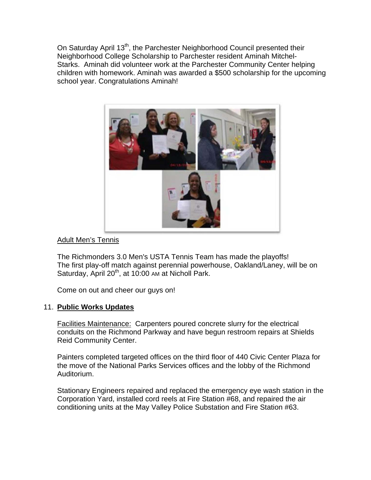On Saturday April 13<sup>th</sup>, the Parchester Neighborhood Council presented their Neighborhood College Scholarship to Parchester resident Aminah Mitchel-Starks. Aminah did volunteer work at the Parchester Community Center helping children with homework. Aminah was awarded a \$500 scholarship for the upcoming school year. Congratulations Aminah!



## Adult Men's Tennis

The Richmonders 3.0 Men's USTA Tennis Team has made the playoffs! The first play-off match against perennial powerhouse, Oakland/Laney, will be on Saturday, April 20<sup>th</sup>, at 10:00 AM at Nicholl Park.

Come on out and cheer our guys on!

## 11. **Public Works Updates**

Facilities Maintenance: Carpenters poured concrete slurry for the electrical conduits on the Richmond Parkway and have begun restroom repairs at Shields Reid Community Center.

Painters completed targeted offices on the third floor of 440 Civic Center Plaza for the move of the National Parks Services offices and the lobby of the Richmond Auditorium.

Stationary Engineers repaired and replaced the emergency eye wash station in the Corporation Yard, installed cord reels at Fire Station #68, and repaired the air conditioning units at the May Valley Police Substation and Fire Station #63.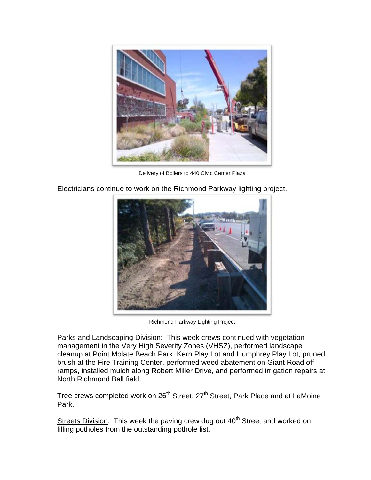

Delivery of Boilers to 440 Civic Center Plaza

Electricians continue to work on the Richmond Parkway lighting project.



Richmond Parkway Lighting Project

Parks and Landscaping Division: This week crews continued with vegetation management in the Very High Severity Zones (VHSZ), performed landscape cleanup at Point Molate Beach Park, Kern Play Lot and Humphrey Play Lot, pruned brush at the Fire Training Center, performed weed abatement on Giant Road off ramps, installed mulch along Robert Miller Drive, and performed irrigation repairs at North Richmond Ball field.

Tree crews completed work on 26<sup>th</sup> Street, 27<sup>th</sup> Street, Park Place and at LaMoine Park.

Streets Division: This week the paving crew dug out 40<sup>th</sup> Street and worked on filling potholes from the outstanding pothole list.